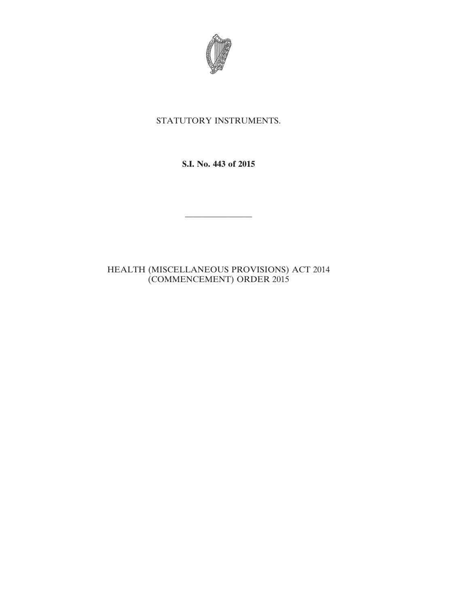

## STATUTORY INSTRUMENTS.

**S.I. No. 443 of 2015**

————————

## HEALTH (MISCELLANEOUS PROVISIONS) ACT 2014 (COMMENCEMENT) ORDER 2015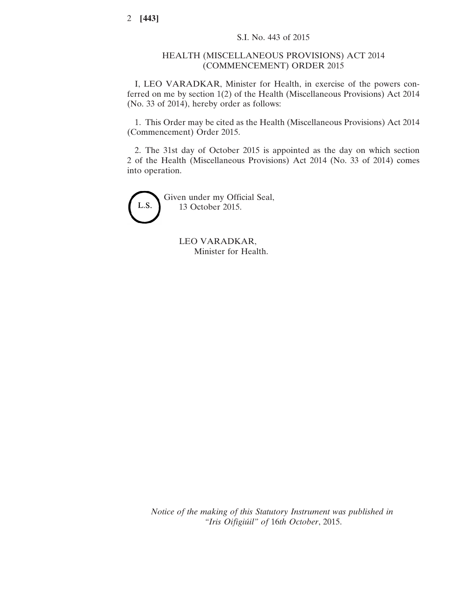## HEALTH (MISCELLANEOUS PROVISIONS) ACT 2014 (COMMENCEMENT) ORDER 2015

I, LEO VARADKAR, Minister for Health, in exercise of the powers conferred on me by section 1(2) of the Health (Miscellaneous Provisions) Act 2014 (No. 33 of 2014), hereby order as follows:

1. This Order may be cited as the Health (Miscellaneous Provisions) Act 2014 (Commencement) Order 2015.

2. The 31st day of October 2015 is appointed as the day on which section 2 of the Health (Miscellaneous Provisions) Act 2014 (No. 33 of 2014) comes into operation.

L.S.

Given under my Official Seal, 13 October 2015.

> LEO VARADKAR, Minister for Health.

*Notice of the making of this Statutory Instrument was published in "Iris Oifigiúil" of* 16*th October*, 2015.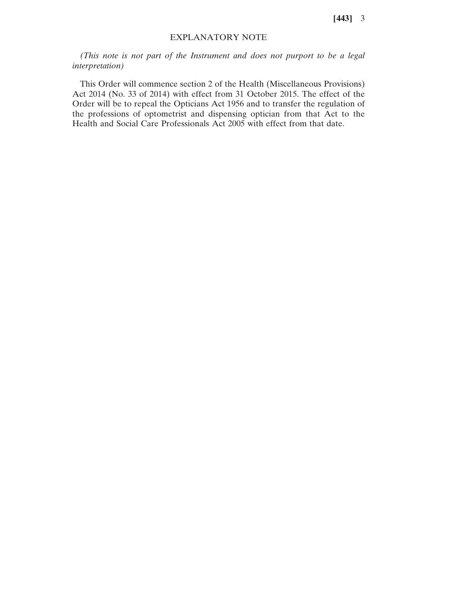**[443]** 3

## EXPLANATORY NOTE

*(This note is not part of the Instrument and does not purport to be a legal interpretation)*

This Order will commence section 2 of the Health (Miscellaneous Provisions) Act 2014 (No. 33 of 2014) with effect from 31 October 2015. The effect of the Order will be to repeal the Opticians Act 1956 and to transfer the regulation of the professions of optometrist and dispensing optician from that Act to the Health and Social Care Professionals Act 2005 with effect from that date.